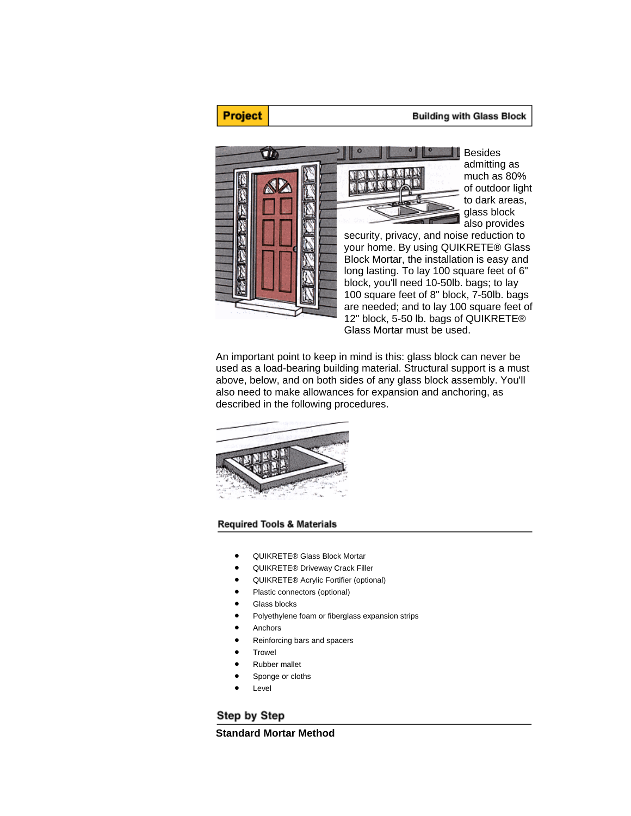#### **Building with Glass Block**



**Project** 

Besides admitting as much as 80% of outdoor light to dark areas, glass block also provides

security, privacy, and noise reduction to your home. By using QUIKRETE® Glass Block Mortar, the installation is easy and long lasting. To lay 100 square feet of 6" block, you'll need 10-50lb. bags; to lay 100 square feet of 8" block, 7-50lb. bags are needed; and to lay 100 square feet of 12" block, 5-50 lb. bags of QUIKRETE® Glass Mortar must be used.

An important point to keep in mind is this: glass block can never be used as a load-bearing building material. Structural support is a must above, below, and on both sides of any glass block assembly. You'll also need to make allowances for expansion and anchoring, as described in the following procedures.



### **Required Tools & Materials**

- QUIKRETE® Glass Block Mortar
- QUIKRETE® Driveway Crack Filler
- QUIKRETE® Acrylic Fortifier (optional)
- Plastic connectors (optional)
- Glass blocks
- Polyethylene foam or fiberglass expansion strips
- **Anchors**
- Reinforcing bars and spacers
- **Trowel**
- Rubber mallet
- Sponge or cloths
- **Level**

# Step by Step

**Standard Mortar Method**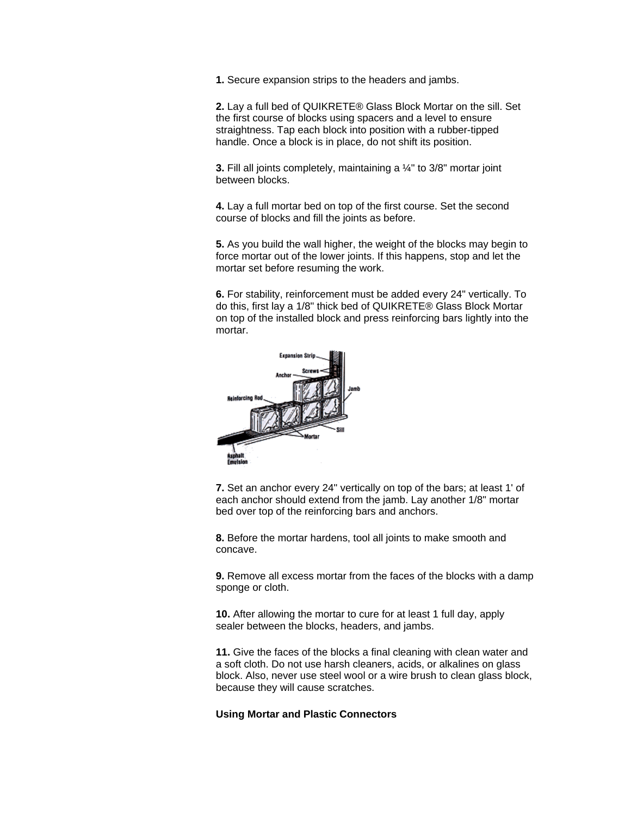**1.** Secure expansion strips to the headers and jambs.

**2.** Lay a full bed of QUIKRETE® Glass Block Mortar on the sill. Set the first course of blocks using spacers and a level to ensure straightness. Tap each block into position with a rubber-tipped handle. Once a block is in place, do not shift its position.

**3.** Fill all joints completely, maintaining a ¼" to 3/8" mortar joint between blocks.

**4.** Lay a full mortar bed on top of the first course. Set the second course of blocks and fill the joints as before.

**5.** As you build the wall higher, the weight of the blocks may begin to force mortar out of the lower joints. If this happens, stop and let the mortar set before resuming the work.

**6.** For stability, reinforcement must be added every 24" vertically. To do this, first lay a 1/8" thick bed of QUIKRETE® Glass Block Mortar on top of the installed block and press reinforcing bars lightly into the mortar.



**7.** Set an anchor every 24" vertically on top of the bars; at least 1' of each anchor should extend from the jamb. Lay another 1/8" mortar bed over top of the reinforcing bars and anchors.

**8.** Before the mortar hardens, tool all joints to make smooth and concave.

**9.** Remove all excess mortar from the faces of the blocks with a damp sponge or cloth.

**10.** After allowing the mortar to cure for at least 1 full day, apply sealer between the blocks, headers, and jambs.

**11.** Give the faces of the blocks a final cleaning with clean water and a soft cloth. Do not use harsh cleaners, acids, or alkalines on glass block. Also, never use steel wool or a wire brush to clean glass block, because they will cause scratches.

### **Using Mortar and Plastic Connectors**